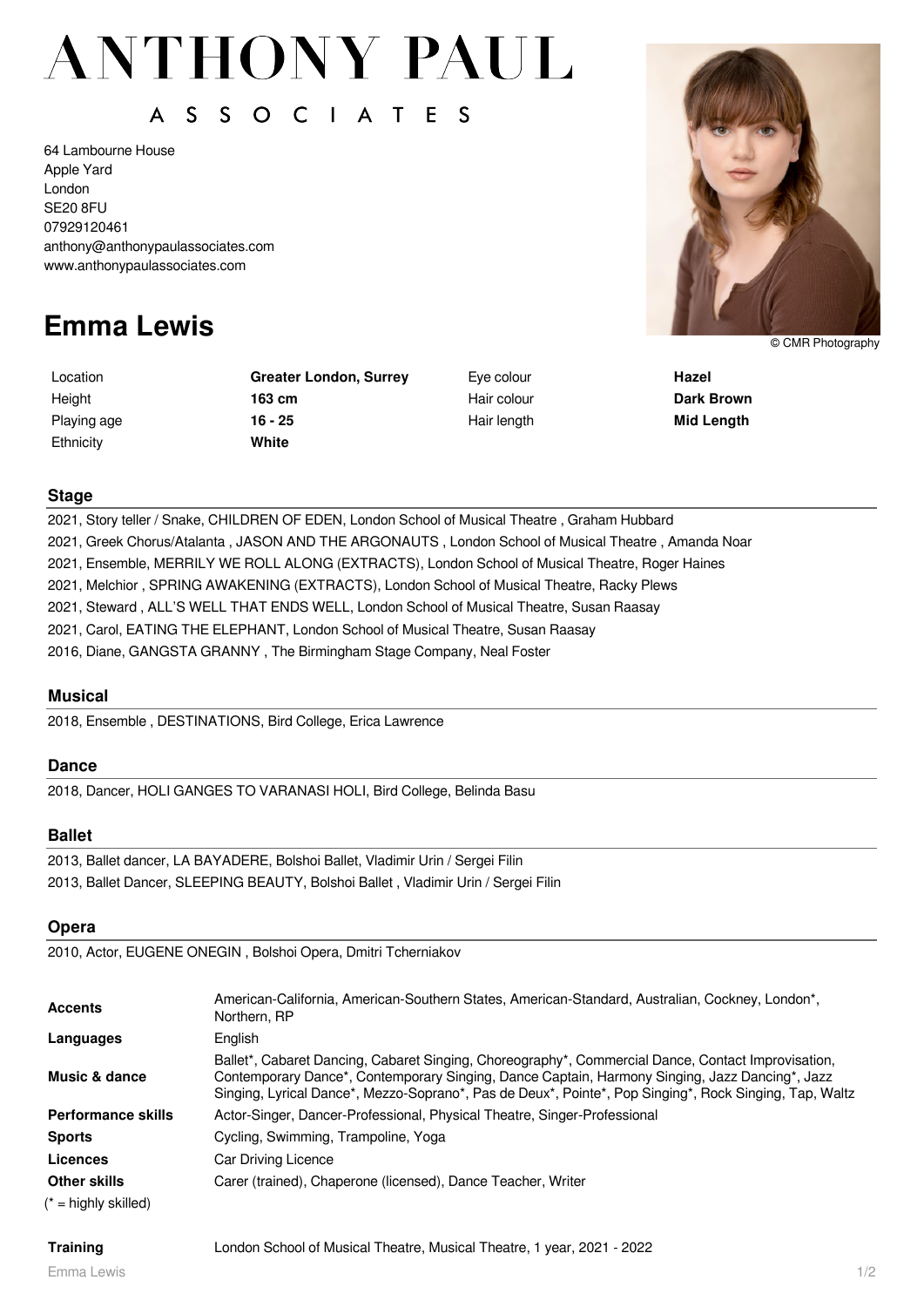# ANTHONY PAUL A S S O C I A T E S

64 Lambourne House Apple Yard London SE20 8FU 07929120461 anthony@anthonypaulassociates.com www.anthonypaulassociates.com

## **Emma Lewis**

Height **163 cm** Playing age **16 - 25** Ethnicity **White**

Location **Greater London, Surrey**

Eye colour **Hazel**

Hair colour **Dark Brown** Hair length **Mid Length**

### **Stage**

2021, Story teller / Snake, CHILDREN OF EDEN, London School of Musical Theatre , Graham Hubbard 2021, Greek Chorus/Atalanta , JASON AND THE ARGONAUTS , London School of Musical Theatre , Amanda Noar 2021, Ensemble, MERRILY WE ROLL ALONG (EXTRACTS), London School of Musical Theatre, Roger Haines 2021, Melchior , SPRING AWAKENING (EXTRACTS), London School of Musical Theatre, Racky Plews 2021, Steward , ALL'S WELL THAT ENDS WELL, London School of Musical Theatre, Susan Raasay 2021, Carol, EATING THE ELEPHANT, London School of Musical Theatre, Susan Raasay 2016, Diane, GANGSTA GRANNY , The Birmingham Stage Company, Neal Foster

### **Musical**

2018, Ensemble , DESTINATIONS, Bird College, Erica Lawrence

### **Dance**

2018, Dancer, HOLI GANGES TO VARANASI HOLI, Bird College, Belinda Basu

### **Ballet**

2013, Ballet dancer, LA BAYADERE, Bolshoi Ballet, Vladimir Urin / Sergei Filin 2013, Ballet Dancer, SLEEPING BEAUTY, Bolshoi Ballet , Vladimir Urin / Sergei Filin

#### **Opera**

2010, Actor, EUGENE ONEGIN , Bolshoi Opera, Dmitri Tcherniakov

| <b>Accents</b>            | American-California, American-Southern States, American-Standard, Australian, Cockney, London*,<br>Northern, RP                                                                                                                                                                                                |
|---------------------------|----------------------------------------------------------------------------------------------------------------------------------------------------------------------------------------------------------------------------------------------------------------------------------------------------------------|
| Languages                 | English                                                                                                                                                                                                                                                                                                        |
| <b>Music &amp; dance</b>  | Ballet*, Cabaret Dancing, Cabaret Singing, Choreography*, Commercial Dance, Contact Improvisation,<br>Contemporary Dance*, Contemporary Singing, Dance Captain, Harmony Singing, Jazz Dancing*, Jazz<br>Singing, Lyrical Dance*, Mezzo-Soprano*, Pas de Deux*, Pointe*, Pop Singing*, Rock Singing, Tap, Waltz |
| <b>Performance skills</b> | Actor-Singer, Dancer-Professional, Physical Theatre, Singer-Professional                                                                                                                                                                                                                                       |
| <b>Sports</b>             | Cycling, Swimming, Trampoline, Yoga                                                                                                                                                                                                                                                                            |
| Licences                  | Car Driving Licence                                                                                                                                                                                                                                                                                            |
| Other skills              | Carer (trained), Chaperone (licensed), Dance Teacher, Writer                                                                                                                                                                                                                                                   |
| $(* =$ highly skilled)    |                                                                                                                                                                                                                                                                                                                |

**Training** London School of Musical Theatre, Musical Theatre, 1 year, 2021 - 2022